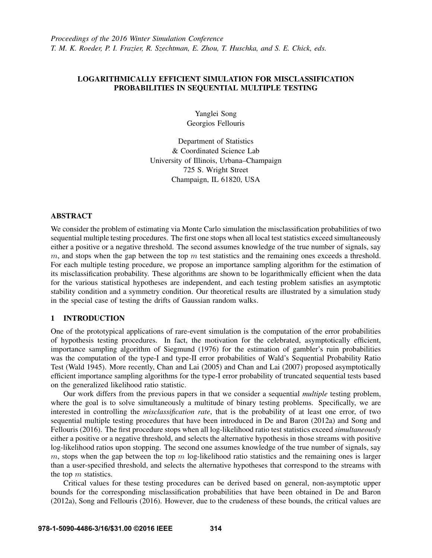## LOGARITHMICALLY EFFICIENT SIMULATION FOR MISCLASSIFICATION PROBABILITIES IN SEQUENTIAL MULTIPLE TESTING

Yanglei Song Georgios Fellouris

Department of Statistics & Coordinated Science Lab University of Illinois, Urbana–Champaign 725 S. Wright Street Champaign, IL 61820, USA

## ABSTRACT

We consider the problem of estimating via Monte Carlo simulation the misclassification probabilities of two sequential multiple testing procedures. The first one stops when all local test statistics exceed simultaneously either a positive or a negative threshold. The second assumes knowledge of the true number of signals, say  $m$ , and stops when the gap between the top  $m$  test statistics and the remaining ones exceeds a threshold. For each multiple testing procedure, we propose an importance sampling algorithm for the estimation of its misclassification probability. These algorithms are shown to be logarithmically efficient when the data for the various statistical hypotheses are independent, and each testing problem satisfies an asymptotic stability condition and a symmetry condition. Our theoretical results are illustrated by a simulation study in the special case of testing the drifts of Gaussian random walks.

## 1 INTRODUCTION

One of the prototypical applications of rare-event simulation is the computation of the error probabilities of hypothesis testing procedures. In fact, the motivation for the celebrated, asymptotically efficient, importance sampling algorithm of Siegmund (1976) for the estimation of gambler's ruin probabilities was the computation of the type-I and type-II error probabilities of Wald's Sequential Probability Ratio Test (Wald 1945). More recently, Chan and Lai (2005) and Chan and Lai (2007) proposed asymptotically efficient importance sampling algorithms for the type-I error probability of truncated sequential tests based on the generalized likelihood ratio statistic.

Our work differs from the previous papers in that we consider a sequential *multiple* testing problem, where the goal is to solve simultaneously a multitude of binary testing problems. Specifically, we are interested in controlling the *misclassification rate*, that is the probability of at least one error, of two sequential multiple testing procedures that have been introduced in De and Baron (2012a) and Song and Fellouris (2016). The first procedure stops when all log-likelihood ratio test statistics exceed *simultaneously* either a positive or a negative threshold, and selects the alternative hypothesis in those streams with positive log-likelihood ratios upon stopping. The second one assumes knowledge of the true number of signals, say  $m$ , stops when the gap between the top  $m$  log-likelihood ratio statistics and the remaining ones is larger than a user-specified threshold, and selects the alternative hypotheses that correspond to the streams with the top  $m$  statistics.

Critical values for these testing procedures can be derived based on general, non-asymptotic upper bounds for the corresponding misclassification probabilities that have been obtained in De and Baron (2012a), Song and Fellouris (2016). However, due to the crudeness of these bounds, the critical values are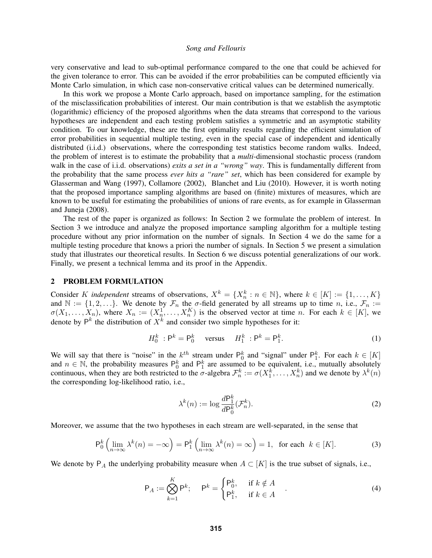very conservative and lead to sub-optimal performance compared to the one that could be achieved for the given tolerance to error. This can be avoided if the error probabilities can be computed efficiently via Monte Carlo simulation, in which case non-conservative critical values can be determined numerically.

In this work we propose a Monte Carlo approach, based on importance sampling, for the estimation of the misclassification probabilities of interest. Our main contribution is that we establish the asymptotic (logarithmic) efficiency of the proposed algorithms when the data streams that correspond to the various hypotheses are independent and each testing problem satisfies a symmetric and an asymptotic stability condition. To our knowledge, these are the first optimality results regarding the efficient simulation of error probabilities in sequential multiple testing, even in the special case of independent and identically distributed (i.i.d.) observations, where the corresponding test statistics become random walks. Indeed, the problem of interest is to estimate the probability that a *multi*-dimensional stochastic process (random walk in the case of i.i.d. observations) *exits a set in a "wrong" way*. This is fundamentally different from the probability that the same process *ever hits a "rare" set*, which has been considered for example by Glasserman and Wang (1997), Collamore (2002), Blanchet and Liu (2010). However, it is worth noting that the proposed importance sampling algorithms are based on (finite) mixtures of measures, which are known to be useful for estimating the probabilities of unions of rare events, as for example in Glasserman and Juneja (2008).

The rest of the paper is organized as follows: In Section 2 we formulate the problem of interest. In Section 3 we introduce and analyze the proposed importance sampling algorithm for a multiple testing procedure without any prior information on the number of signals. In Section 4 we do the same for a multiple testing procedure that knows a priori the number of signals. In Section 5 we present a simulation study that illustrates our theoretical results. In Section 6 we discuss potential generalizations of our work. Finally, we present a technical lemma and its proof in the Appendix.

#### 2 PROBLEM FORMULATION

Consider K *independent* streams of observations,  $X^k = \{X_n^k : n \in \mathbb{N}\}\$ , where  $k \in [K] := \{1, \ldots, K\}$ and  $\mathbb{N} := \{1, 2, \ldots\}$ . We denote by  $\mathcal{F}_n$  the  $\sigma$ -field generated by all streams up to time n, i.e.,  $\mathcal{F}_n :=$  $\sigma(X_1,\ldots,X_n)$ , where  $X_n := (X_n^1,\ldots,X_n^K)$  is the observed vector at time n. For each  $k \in [K]$ , we denote by  $P^k$  the distribution of  $X^k$  and consider two simple hypotheses for it:

$$
H_0^k : \mathsf{P}^k = \mathsf{P}_0^k \quad \text{versus} \quad H_1^k : \mathsf{P}^k = \mathsf{P}_1^k. \tag{1}
$$

We will say that there is "noise" in the  $k^{th}$  stream under  $\mathsf{P}_0^k$  and "signal" under  $\mathsf{P}_1^k$ . For each  $k \in [K]$ and  $n \in \mathbb{N}$ , the probability measures  $\mathsf{P}_0^k$  and  $\mathsf{P}_1^k$  are assumed to be equivalent, i.e., mutually absolutely continuous, when they are both restricted to the  $\sigma$ -algebra  $\mathcal{F}_n^k := \sigma(X_1^k, \dots, X_n^k)$  and we denote by  $\lambda^k(n)$ the corresponding log-likelihood ratio, i.e.,

$$
\lambda^k(n) := \log \frac{d\mathsf{P}_1^k}{d\mathsf{P}_0^k}(\mathcal{F}_n^k). \tag{2}
$$

Moreover, we assume that the two hypotheses in each stream are well-separated, in the sense that

$$
\mathsf{P}_0^k \left( \lim_{n \to \infty} \lambda^k(n) = -\infty \right) = \mathsf{P}_1^k \left( \lim_{n \to \infty} \lambda^k(n) = \infty \right) = 1, \text{ for each } k \in [K]. \tag{3}
$$

We denote by  $P_A$  the underlying probability measure when  $A \subset [K]$  is the true subset of signals, i.e.,

$$
\mathsf{P}_A := \bigotimes_{k=1}^K \mathsf{P}^k; \quad \mathsf{P}^k = \begin{cases} \mathsf{P}_0^k, & \text{if } k \notin A \\ \mathsf{P}_1^k, & \text{if } k \in A \end{cases} \tag{4}
$$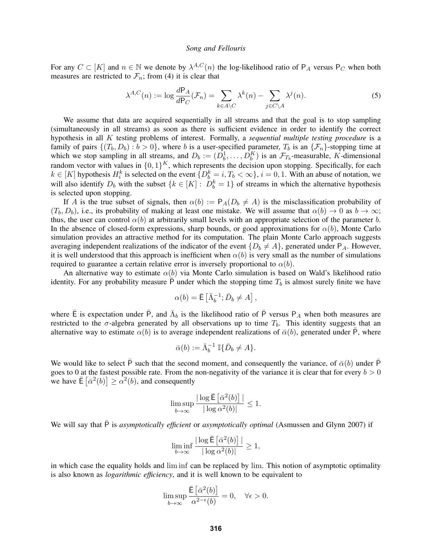For any  $C \subset [K]$  and  $n \in \mathbb{N}$  we denote by  $\lambda^{A,C}(n)$  the log-likelihood ratio of  $P_A$  versus  $P_C$  when both measures are restricted to  $\mathcal{F}_n$ ; from (4) it is clear that

$$
\lambda^{A,C}(n) := \log \frac{dP_A}{dP_C}(\mathcal{F}_n) = \sum_{k \in A \setminus C} \lambda^k(n) - \sum_{j \in C \setminus A} \lambda^j(n). \tag{5}
$$

We assume that data are acquired sequentially in all streams and that the goal is to stop sampling (simultaneously in all streams) as soon as there is sufficient evidence in order to identify the correct hypothesis in all K testing problems of interest. Formally, a *sequential multiple testing procedure* is a family of pairs  $\{(T_b, D_b) : b > 0\}$ , where b is a user-specified parameter,  $T_b$  is an  $\{\mathcal{F}_n\}$ -stopping time at which we stop sampling in all streams, and  $D_b := (D_b^1, \ldots, D_b^K)$  is an  $\mathcal{F}_{T_b}$ -measurable, K-dimensional which we stop sampling in an streams, and  $D_b := (D_b, \ldots, D_b)$  is an  $\mathcal{F}T_b$ -ineasurable,  $\Lambda$ -dimensional random vector with values in  $\{0, 1\}^K$ , which represents the decision upon stopping. Specifically, for each  $k \in [K]$  hypothesis  $H_i^k$  is selected on the event  $\{D_b^k = i, T_b < \infty\}$ ,  $i = 0, 1$ . With an abuse of notation, we will also identify  $D_b$  with the subset  $\{k \in [K] : D_b^k = 1\}$  of streams in which the alternative hypothesis is selected upon stopping.

If A is the true subset of signals, then  $\alpha(b) := P_A(D_b \neq A)$  is the misclassification probability of  $(T_b, D_b)$ , i.e., its probability of making at least one mistake. We will assume that  $\alpha(b) \to 0$  as  $b \to \infty$ ; thus, the user can control  $\alpha(b)$  at arbitrarily small levels with an appropriate selection of the parameter b. In the absence of closed-form expressions, sharp bounds, or good approximations for  $\alpha(b)$ , Monte Carlo simulation provides an attractive method for its computation. The plain Monte Carlo approach suggests averaging independent realizations of the indicator of the event  $\{D_b \neq A\}$ , generated under  $P_A$ . However, it is well understood that this approach is inefficient when  $\alpha(b)$  is very small as the number of simulations required to guarantee a certain relative error is inversely proportional to  $\alpha(b)$ .

An alternative way to estimate  $\alpha(b)$  via Monte Carlo simulation is based on Wald's likelihood ratio identity. For any probability measure  $\overline{P}$  under which the stopping time  $T_b$  is almost surely finite we have

$$
\alpha(b) = \bar{\mathsf{E}} \left[ \bar{\Lambda}_b^{-1}; \bar{D}_b \neq A \right],
$$

where  $\bar{E}$  is expectation under  $\bar{P}$ , and  $\bar{\Lambda}_b$  is the likelihood ratio of  $\bar{P}$  versus  $P_A$  when both measures are restricted to the  $\sigma$ -algebra generated by all observations up to time  $T_b$ . This identity suggests that an alternative way to estimate  $\alpha(b)$  is to average independent realizations of  $\bar{\alpha}(b)$ , generated under  $\bar{P}$ , where

$$
\bar{\alpha}(b) := \bar{\Lambda}_b^{-1} \mathbb{I} \{ \bar{D}_b \neq A \}.
$$

We would like to select  $\bar{P}$  such that the second moment, and consequently the variance, of  $\bar{\alpha}(b)$  under  $\bar{P}$ goes to 0 at the fastest possible rate. From the non-negativity of the variance it is clear that for every  $b > 0$ we have  $\mathbb{E} \left[ \bar{\alpha}^2(b) \right] \geq \alpha^2(b)$ , and consequently

$$
\limsup_{b \to \infty} \frac{|\log \bar{\mathsf{E}}\left[\bar{\alpha}^2(b)\right]|}{|\log \alpha^2(b)|} \le 1.
$$

We will say that  $\bar{P}$  is *asymptotically efficient* or *asymptotically optimal* (Asmussen and Glynn 2007) if

$$
\liminf_{b \to \infty} \frac{|\log \bar{E} \left[ \bar{\alpha}^2(b) \right]|}{|\log \alpha^2(b)|} \ge 1,
$$

in which case the equality holds and lim inf can be replaced by lim. This notion of asymptotic optimality is also known as *logarithmic efficiency*, and it is well known to be equivalent to

$$
\limsup_{b \to \infty} \frac{\bar{\mathsf{E}} \left[ \bar{\alpha}^2(b) \right]}{\alpha^{2-\epsilon}(b)} = 0, \quad \forall \epsilon > 0.
$$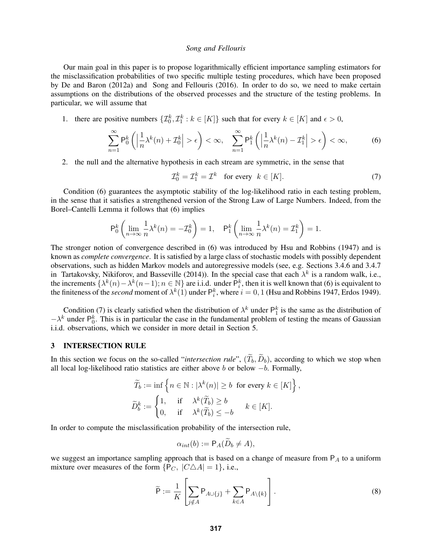Our main goal in this paper is to propose logarithmically efficient importance sampling estimators for the misclassification probabilities of two specific multiple testing procedures, which have been proposed by De and Baron (2012a) and Song and Fellouris (2016). In order to do so, we need to make certain assumptions on the distributions of the observed processes and the structure of the testing problems. In particular, we will assume that

1. there are positive numbers  $\{\mathcal{I}_0^k, \mathcal{I}_1^k : k \in [K]\}$  such that for every  $k \in [K]$  and  $\epsilon > 0$ ,

$$
\sum_{n=1}^{\infty} \mathsf{P}_0^k \left( \left| \frac{1}{n} \lambda^k(n) + \mathcal{I}_0^k \right| > \epsilon \right) < \infty, \quad \sum_{n=1}^{\infty} \mathsf{P}_1^k \left( \left| \frac{1}{n} \lambda^k(n) - \mathcal{I}_1^k \right| > \epsilon \right) < \infty,\tag{6}
$$

2. the null and the alternative hypothesis in each stream are symmetric, in the sense that

$$
\mathcal{I}_0^k = \mathcal{I}_1^k = \mathcal{I}^k \quad \text{for every} \quad k \in [K]. \tag{7}
$$

Condition (6) guarantees the asymptotic stability of the log-likelihood ratio in each testing problem, in the sense that it satisfies a strengthened version of the Strong Law of Large Numbers. Indeed, from the Borel–Cantelli Lemma it follows that (6) implies

$$
\mathsf{P}_0^k \left( \lim_{n \to \infty} \frac{1}{n} \lambda^k(n) = -\mathcal{I}_0^k \right) = 1, \quad \mathsf{P}_1^k \left( \lim_{n \to \infty} \frac{1}{n} \lambda^k(n) = \mathcal{I}_1^k \right) = 1.
$$

The stronger notion of convergence described in (6) was introduced by Hsu and Robbins (1947) and is known as *complete convergence*. It is satisfied by a large class of stochastic models with possibly dependent observations, such as hidden Markov models and autoregressive models (see, e.g. Sections 3.4.6 and 3.4.7 in Tartakovsky, Nikiforov, and Basseville (2014)). In the special case that each  $\lambda^k$  is a random walk, i.e., the increments  $\{\lambda^k(n) - \lambda^k(n-1); n \in \mathbb{N}\}\$  are i.i.d. under  $\hat{P}_i^k$ , then it is well known that (6) is equivalent to the finiteness of the *second* moment of  $\lambda^k(1)$  under  $P_i^k$ , where  $i = 0, 1$  (Hsu and Robbins 1947, Erdos 1949).

Condition (7) is clearly satisfied when the distribution of  $\lambda^k$  under  $\mathsf{P}_1^k$  is the same as the distribution of  $-\lambda^k$  under  $P_0^k$ . This is in particular the case in the fundamental problem of testing the means of Gaussian i.i.d. observations, which we consider in more detail in Section 5.

### 3 INTERSECTION RULE

In this section we focus on the so-called "*intersection rule*",  $(\tilde{T}_b, \tilde{D}_b)$ , according to which we stop when all local log-likelihood ratio statistics are either above b or below  $-b$ . Formally,

$$
\widetilde{T}_b := \inf \left\{ n \in \mathbb{N} : |\lambda^k(n)| \ge b \text{ for every } k \in [K] \right\},\
$$

$$
\widetilde{D}_b^k := \begin{cases} 1, & \text{if } \lambda^k(\widetilde{T}_b) \ge b \\ 0, & \text{if } \lambda^k(\widetilde{T}_b) \le -b \end{cases} \quad k \in [K].
$$

In order to compute the misclassification probability of the intersection rule,

$$
\alpha_{int}(b) := \mathsf{P}_A(\widetilde{D}_b \neq A),
$$

we suggest an importance sampling approach that is based on a change of measure from  $P_A$  to a uniform mixture over measures of the form  $\{P_C, |C \triangle A| = 1\}$ , i.e.,

$$
\widetilde{\mathsf{P}} := \frac{1}{K} \left[ \sum_{j \notin A} \mathsf{P}_{A \cup \{j\}} + \sum_{k \in A} \mathsf{P}_{A \setminus \{k\}} \right]. \tag{8}
$$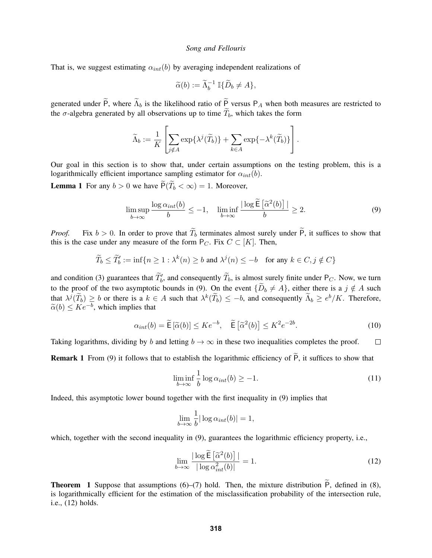That is, we suggest estimating  $\alpha_{int}(b)$  by averaging independent realizations of

$$
\widetilde{\alpha}(b) := \widetilde{\Lambda}_b^{-1} \mathbb{I} \{ \widetilde{D}_b \neq A \},
$$

generated under  $\widetilde{P}$ , where  $\widetilde{\Lambda}_b$  is the likelihood ratio of  $\widetilde{P}$  versus P<sub>A</sub> when both measures are restricted to the  $\sigma$ -algebra generated by all observations up to time  $\widetilde{T}_b$ , which takes the form

$$
\widetilde{\Lambda}_b := \frac{1}{K}\left[\sum_{j\notin A} \exp\{\lambda^j(\widetilde{T}_b)\} + \sum_{k\in A} \exp\{-\lambda^k(\widetilde{T}_b)\}\right].
$$

Our goal in this section is to show that, under certain assumptions on the testing problem, this is a logarithmically efficient importance sampling estimator for  $\alpha_{int}(b)$ .

**Lemma 1** For any  $b > 0$  we have  $\widetilde{P}(\widetilde{T}_b < \infty) = 1$ . Moreover,

$$
\limsup_{b \to \infty} \frac{\log \alpha_{int}(b)}{b} \le -1, \quad \liminf_{b \to \infty} \frac{|\log \widetilde{\mathsf{E}}\left[\widetilde{\alpha}^2(b)\right]|}{b} \ge 2. \tag{9}
$$

*Proof.* Fix  $b > 0$ . In order to prove that  $\widetilde{T}_b$  terminates almost surely under  $\widetilde{P}$ , it suffices to show that this is the case under any measure of the form  $P_C$ . Fix  $C \subset [K]$ . Then,

$$
\widetilde{T}_b \le \widetilde{T}'_b := \inf\{n \ge 1 : \lambda^k(n) \ge b \text{ and } \lambda^j(n) \le -b \text{ for any } k \in C, j \notin C\}
$$

and condition (3) guarantees that  $\widetilde{T}_b$ , and consequently  $\widetilde{T}_b$ , is almost surely finite under P<sub>C</sub>. Now, we turn to the proof of the two asymptotic bounds in (9). On the event  ${\{\widetilde{D}_b \neq A\}}$ , either there is a  $j \notin A$  such that  $\lambda^{j}(\widetilde{T}_{b}) \geq b$  or there is a  $k \in A$  such that  $\lambda^{k}(\widetilde{T}_{b}) \leq -b$ , and consequently  $\widetilde{\Lambda}_{b} \geq e^{b}/K$ . Therefore,  $\widetilde{\alpha}(b) \leq Ke^{-b}$ , which implies that

$$
\alpha_{int}(b) = \widetilde{\mathsf{E}}\left[\widetilde{\alpha}(b)\right] \leq Ke^{-b}, \quad \widetilde{\mathsf{E}}\left[\widetilde{\alpha}^2(b)\right] \leq K^2 e^{-2b}.\tag{10}
$$

Taking logarithms, dividing by b and letting  $b \to \infty$  in these two inequalities completes the proof.  $\Box$ 

**Remark 1** From (9) it follows that to establish the logarithmic efficiency of  $\tilde{P}$ , it suffices to show that

$$
\liminf_{b \to \infty} \frac{1}{b} \log \alpha_{int}(b) \ge -1. \tag{11}
$$

Indeed, this asymptotic lower bound together with the first inequality in (9) implies that

$$
\lim_{b \to \infty} \frac{1}{b} |\log \alpha_{int}(b)| = 1,
$$

which, together with the second inequality in (9), guarantees the logarithmic efficiency property, i.e.,

$$
\lim_{b \to \infty} \frac{|\log \widetilde{\mathsf{E}}\left[\widetilde{\alpha}^2(b)\right]|}{|\log \alpha_{int}^2(b)|} = 1. \tag{12}
$$

**Theorem 1** Suppose that assumptions (6)–(7) hold. Then, the mixture distribution  $\tilde{P}$ , defined in (8), is logarithmically efficient for the estimation of the misclassification probability of the intersection rule, i.e., (12) holds.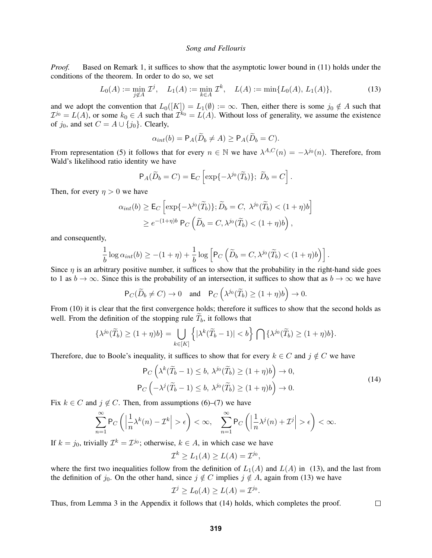*Proof.* Based on Remark 1, it suffices to show that the asymptotic lower bound in (11) holds under the conditions of the theorem. In order to do so, we set

$$
L_0(A) := \min_{j \notin A} \mathcal{I}^j, \quad L_1(A) := \min_{k \in A} \mathcal{I}^k, \quad L(A) := \min\{L_0(A), L_1(A)\},\tag{13}
$$

and we adopt the convention that  $L_0([K]) = L_1(\emptyset) := \infty$ . Then, either there is some  $j_0 \notin A$  such that  $\mathcal{I}^{j_0} = L(A)$ , or some  $k_0 \in A$  such that  $\mathcal{I}^{k_0} = L(A)$ . Without loss of generality, we assume the existence of  $j_0$ , and set  $C = A \cup \{j_0\}$ . Clearly,

$$
\alpha_{int}(b) = \mathsf{P}_A(\widetilde{D}_b \neq A) \ge \mathsf{P}_A(\widetilde{D}_b = C).
$$

From representation (5) it follows that for every  $n \in \mathbb{N}$  we have  $\lambda^{A,C}(n) = -\lambda^{j_0}(n)$ . Therefore, from Wald's likelihood ratio identity we have

$$
\mathsf{P}_A(\widetilde{D}_b = C) = \mathsf{E}_C \left[ \exp\{-\lambda^{j_0}(\widetilde{T}_b)\}; \ \widetilde{D}_b = C \right].
$$

Then, for every  $\eta > 0$  we have

$$
\alpha_{int}(b) \ge \mathsf{E}_C \left[ \exp\{-\lambda^{j_0}(\widetilde{T}_b)\}; \widetilde{D}_b = C, \ \lambda^{j_0}(\widetilde{T}_b) < (1+\eta)b \right] \ge e^{-(1+\eta)b} \, \mathsf{P}_C \left( \widetilde{D}_b = C, \lambda^{j_0}(\widetilde{T}_b) < (1+\eta)b \right),
$$

and consequently,

$$
\frac{1}{b}\log\alpha_{int}(b)\geq -(1+\eta)+\frac{1}{b}\log\left[P_C\left(\widetilde{D}_b=C,\lambda^{j_0}(\widetilde{T}_b)<(1+\eta)b\right)\right].
$$

Since  $\eta$  is an arbitrary positive number, it suffices to show that the probability in the right-hand side goes to 1 as  $b \to \infty$ . Since this is the probability of an intersection, it suffices to show that as  $b \to \infty$  we have

$$
\mathsf{P}_C(\widetilde{D}_b \neq C) \to 0 \quad \text{and} \quad \mathsf{P}_C\left(\lambda^{j_0}(\widetilde{T}_b) \ge (1+\eta)b\right) \to 0.
$$

From (10) it is clear that the first convergence holds; therefore it suffices to show that the second holds as well. From the definition of the stopping rule  $\widetilde{T}_b$ , it follows that

$$
\{\lambda^{j_0}(\widetilde{T}_b) \ge (1+\eta)b\} = \bigcup_{k \in [K]} \left\{ |\lambda^k(\widetilde{T}_b - 1)| < b \right\} \bigcap \{\lambda^{j_0}(\widetilde{T}_b) \ge (1+\eta)b\}.
$$

Therefore, due to Boole's inequality, it suffices to show that for every  $k \in C$  and  $j \notin C$  we have

$$
\mathsf{P}_C\left(\lambda^k(\widetilde{T}_b - 1) \le b, \ \lambda^{j_0}(\widetilde{T}_b) \ge (1 + \eta)b\right) \to 0, \\
\mathsf{P}_C\left(-\lambda^j(\widetilde{T}_b - 1) \le b, \ \lambda^{j_0}(\widetilde{T}_b) \ge (1 + \eta)b\right) \to 0.\n\tag{14}
$$

 $\Box$ 

Fix  $k \in C$  and  $j \notin C$ . Then, from assumptions (6)–(7) we have

$$
\sum_{n=1}^{\infty} \mathsf{P}_C\left(\left|\frac{1}{n}\lambda^k(n)-\mathcal{I}^k\right|>\epsilon\right)<\infty, \quad \sum_{n=1}^{\infty} \mathsf{P}_C\left(\left|\frac{1}{n}\lambda^j(n)+\mathcal{I}^j\right|>\epsilon\right)<\infty.
$$

If  $k = j_0$ , trivially  $\mathcal{I}^k = \mathcal{I}^{j_0}$ ; otherwise,  $k \in A$ , in which case we have

$$
\mathcal{I}^k \ge L_1(A) \ge L(A) = \mathcal{I}^{j_0},
$$

where the first two inequalities follow from the definition of  $L_1(A)$  and  $L(A)$  in (13), and the last from the definition of  $j_0$ . On the other hand, since  $j \notin C$  implies  $j \notin A$ , again from (13) we have

$$
\mathcal{I}^j \ge L_0(A) \ge L(A) = \mathcal{I}^{j_0}.
$$

Thus, from Lemma 3 in the Appendix it follows that (14) holds, which completes the proof.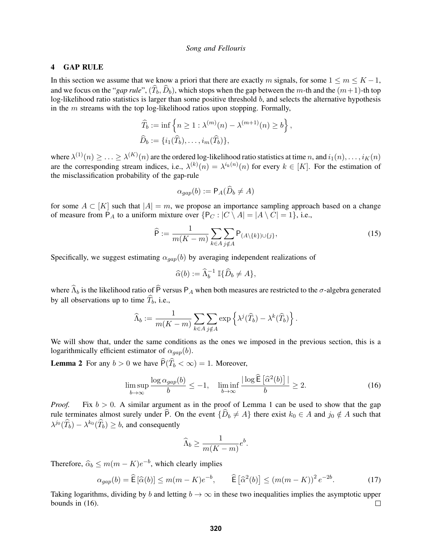### 4 GAP RULE

In this section we assume that we know a priori that there are exactly m signals, for some  $1 \le m \le K - 1$ , and we focus on the "*gap rule*",  $(\widehat{T}_b, \widehat{D}_b)$ , which stops when the gap between the m-th and the  $(m+1)$ -th top log-likelihood ratio statistics is larger than some positive threshold b, and selects the alternative hypothesis in the  $m$  streams with the top log-likelihood ratios upon stopping. Formally,

$$
\widehat{T}_b := \inf \left\{ n \ge 1 : \lambda^{(m)}(n) - \lambda^{(m+1)}(n) \ge b \right\},\
$$
  

$$
\widehat{D}_b := \{ i_1(\widehat{T}_b), \dots, i_m(\widehat{T}_b) \},
$$

where  $\lambda^{(1)}(n) \geq \ldots \geq \lambda^{(K)}(n)$  are the ordered log-likelihood ratio statistics at time n, and  $i_1(n),\ldots,i_K(n)$ are the corresponding stream indices, i.e.,  $\lambda^{(k)}(n) = \lambda^{i_k(n)}(n)$  for every  $k \in [K]$ . For the estimation of the misclassification probability of the gap-rule

$$
\alpha_{gap}(b) := \mathsf{P}_A(D_b \neq A)
$$

for some  $A \subset [K]$  such that  $|A| = m$ , we propose an importance sampling approach based on a change of measure from  $P_A$  to a uniform mixture over  $\{P_C : |C \setminus A| = |A \setminus C| = 1\}$ , i.e.,

$$
\widehat{\mathsf{P}} := \frac{1}{m(K-m)} \sum_{k \in A} \sum_{j \notin A} \mathsf{P}_{(A \setminus \{k\}) \cup \{j\}},\tag{15}
$$

Specifically, we suggest estimating  $\alpha_{gap}(b)$  by averaging independent realizations of

$$
\widehat{\alpha}(b) := \widehat{\Lambda}_b^{-1} \mathbb{I} \{ \widehat{D}_b \neq A \},
$$

where  $\widehat{\Lambda}_b$  is the likelihood ratio of  $\widehat{P}$  versus P<sub>A</sub> when both measures are restricted to the  $\sigma$ -algebra generated by all observations up to time  $\widehat{T}_b$ , i.e.,

$$
\widehat{\Lambda}_b := \frac{1}{m(K-m)} \sum_{k \in A} \sum_{j \notin A} \exp \left\{ \lambda^j(\widehat{T}_b) - \lambda^k(\widehat{T}_b) \right\}.
$$

We will show that, under the same conditions as the ones we imposed in the previous section, this is a logarithmically efficient estimator of  $\alpha_{gap}(b)$ .

**Lemma 2** For any  $b > 0$  we have  $\widehat{P}(\widehat{T}_b < \infty) = 1$ . Moreover,

$$
\limsup_{b \to \infty} \frac{\log \alpha_{gap}(b)}{b} \le -1, \quad \liminf_{b \to \infty} \frac{|\log \widehat{E}[\widehat{\alpha}^2(b)]|}{b} \ge 2.
$$
 (16)

*Proof.* Fix  $b > 0$ . A similar argument as in the proof of Lemma 1 can be used to show that the gap rule terminates almost surely under P. On the event  ${\{\hat{D}_b \neq A\}}$  there exist  $k_0 \in A$  and  $j_0 \notin A$  such that  $\lambda^{j_0}(\widehat{T}_b) - \lambda^{k_0}(\widehat{T}_b) \ge b$ , and consequently

$$
\widehat{\Lambda}_b \ge \frac{1}{m(K-m)} e^b.
$$

Therefore,  $\hat{\alpha}_b \le m(m - K)e^{-b}$ , which clearly implies

$$
\alpha_{gap}(b) = \widehat{\mathsf{E}}\left[\widehat{\alpha}(b)\right] \le m(m-K)e^{-b}, \qquad \widehat{\mathsf{E}}\left[\widehat{\alpha}^2(b)\right] \le (m(m-K))^2 e^{-2b}.
$$
 (17)

Taking logarithms, dividing by b and letting  $b \to \infty$  in these two inequalities implies the asymptotic upper bounds in (16).  $\Box$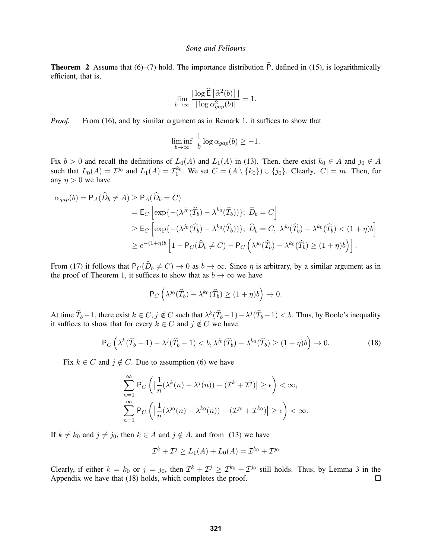**Theorem 2** Assume that (6)–(7) hold. The importance distribution  $\hat{P}$ , defined in (15), is logarithmically efficient, that is,

$$
\lim_{b \to \infty} \frac{|\log \widehat{E} [\widehat{\alpha}^2(b)]|}{|\log \alpha_{gap}^2(b)|} = 1.
$$

*Proof.* From (16), and by similar argument as in Remark 1, it suffices to show that

$$
\liminf_{b \to \infty} \frac{1}{b} \log \alpha_{gap}(b) \ge -1.
$$

Fix  $b > 0$  and recall the definitions of  $L_0(A)$  and  $L_1(A)$  in (13). Then, there exist  $k_0 \in A$  and  $j_0 \notin A$ such that  $L_0(A) = \mathcal{I}^{j_0}$  and  $L_1(A) = \mathcal{I}_1^{k_0}$ . We set  $C = (A \setminus \{k_0\}) \cup \{j_0\}$ . Clearly,  $|C| = m$ . Then, for any  $\eta > 0$  we have

$$
\alpha_{gap}(b) = \mathsf{P}_A(\widehat{D}_b \neq A) \ge \mathsf{P}_A(\widehat{D}_b = C)
$$
  
\n
$$
= \mathsf{E}_C \left[ \exp\{-(\lambda^{j_0}(\widehat{T}_b) - \lambda^{k_0}(\widehat{T}_b))\}; \ \widehat{D}_b = C \right]
$$
  
\n
$$
\ge \mathsf{E}_C \left[ \exp\{-(\lambda^{j_0}(\widehat{T}_b) - \lambda^{k_0}(\widehat{T}_b))\}; \ \widehat{D}_b = C, \ \lambda^{j_0}(\widehat{T}_b) - \lambda^{k_0}(\widehat{T}_b) < (1 + \eta)b \right]
$$
  
\n
$$
\ge e^{-(1+\eta)b} \left[1 - \mathsf{P}_C(\widehat{D}_b \neq C) - \mathsf{P}_C\left(\lambda^{j_0}(\widehat{T}_b) - \lambda^{k_0}(\widehat{T}_b) \ge (1 + \eta)b\right) \right].
$$

From (17) it follows that  $P_C(\widehat{D}_b \neq C) \rightarrow 0$  as  $b \rightarrow \infty$ . Since  $\eta$  is arbitrary, by a similar argument as in the proof of Theorem 1, it suffices to show that as  $b \to \infty$  we have

$$
\mathsf{P}_C\left(\lambda^{j_0}(\widehat{T}_b)-\lambda^{k_0}(\widehat{T}_b)\geq (1+\eta)b\right)\to 0.
$$

At time  $\widehat{T}_b - 1$ , there exist  $k \in C, j \notin C$  such that  $\lambda^k(\widehat{T}_b - 1) - \lambda^j(\widehat{T}_b - 1) < b$ . Thus, by Boole's inequality it suffices to show that for every  $k \in C$  and  $j \notin C$  we have

$$
\mathsf{P}_C\left(\lambda^k(\widehat{T}_b-1)-\lambda^j(\widehat{T}_b-1)
$$

Fix  $k \in C$  and  $j \notin C$ . Due to assumption (6) we have

$$
\sum_{n=1}^{\infty} \mathsf{P}_C\left( \left| \frac{1}{n} (\lambda^k(n) - \lambda^j(n)) - (\mathcal{I}^k + \mathcal{I}^j) \right| \ge \epsilon \right) < \infty,
$$
  

$$
\sum_{n=1}^{\infty} \mathsf{P}_C\left( \left| \frac{1}{n} (\lambda^{j_0}(n) - \lambda^{k_0}(n)) - (\mathcal{I}^{j_0} + \mathcal{I}^{k_0}) \right| \ge \epsilon \right) < \infty.
$$

If  $k \neq k_0$  and  $j \neq j_0$ , then  $k \in A$  and  $j \notin A$ , and from (13) we have

$$
\mathcal{I}^k + \mathcal{I}^j \ge L_1(A) + L_0(A) = \mathcal{I}^{k_0} + \mathcal{I}^{j_0}
$$

Clearly, if either  $k = k_0$  or  $j = j_0$ , then  $\mathcal{I}^k + \mathcal{I}^j \ge \mathcal{I}^{k_0} + \mathcal{I}^{j_0}$  still holds. Thus, by Lemma 3 in the Appendix we have that (18) holds, which completes the proof.  $\Box$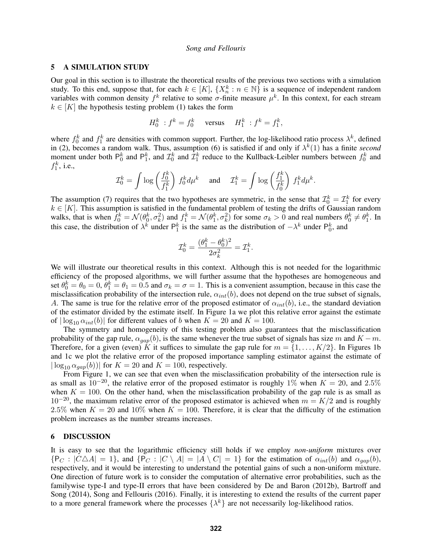### 5 A SIMULATION STUDY

Our goal in this section is to illustrate the theoretical results of the previous two sections with a simulation study. To this end, suppose that, for each  $k \in [K]$ ,  $\{X_n^k : n \in \mathbb{N}\}\$  is a sequence of independent random variables with common density  $f^k$  relative to some  $\sigma$ -finite measure  $\mu^k$ . In this context, for each stream  $k \in [K]$  the hypothesis testing problem (1) takes the form

$$
H_0^k : f^k = f_0^k \quad \text{versus} \quad H_1^k : f^k = f_1^k,
$$

where  $f_0^k$  and  $f_1^k$  are densities with common support. Further, the log-likelihood ratio process  $\lambda^k$ , defined in (2), becomes a random walk. Thus, assumption (6) is satisfied if and only if  $\lambda^k(1)$  has a finite *second* moment under both  $P_0^k$  and  $P_1^k$ , and  $\mathcal{I}_0^k$  and  $\bar{\mathcal{I}}_1^k$  reduce to the Kullback-Leibler numbers between  $f_0^k$  and  $f_1^k$ , i.e.,

$$
\mathcal{I}_0^k = \int \log \left( \frac{f_0^k}{f_1^k} \right) f_0^k d\mu^k \quad \text{ and } \quad \mathcal{I}_1^k = \int \log \left( \frac{f_1^k}{f_0^k} \right) f_1^k d\mu^k.
$$

The assumption (7) requires that the two hypotheses are symmetric, in the sense that  $\mathcal{I}_0^k = \mathcal{I}_1^k$  for every  $k \in [K]$ . This assumption is satisfied in the fundamental problem of testing the drifts of Gaussian random walks, that is when  $\bar{f}_0^k = \mathcal{N}(\theta_0^k, \sigma_k^2)$  and  $f_1^k = \mathcal{N}(\theta_1^k, \sigma_k^2)$  for some  $\sigma_k > 0$  and real numbers  $\theta_0^k \neq \theta_1^k$ . In this case, the distribution of  $\lambda^k$  under  $P_1^k$  is the same as the distribution of  $-\lambda^k$  under  $P_0^k$ , and

$$
\mathcal{I}_0^k = \frac{(\theta_1^k - \theta_0^k)^2}{2\sigma_k^2} = \mathcal{I}_1^k.
$$

We will illustrate our theoretical results in this context. Although this is not needed for the logarithmic efficiency of the proposed algorithms, we will further assume that the hypotheses are homogeneous and set  $\theta_0^k = \theta_0 = 0$ ,  $\bar{\theta}_1^k = \theta_1 = 0.5$  and  $\sigma_k = \sigma = 1$ . This is a convenient assumption, because in this case the misclassification probability of the intersection rule,  $\alpha_{int}(b)$ , does not depend on the true subset of signals, A. The same is true for the relative error of the proposed estimator of  $\alpha_{int}(b)$ , i.e., the standard deviation of the estimator divided by the estimate itself. In Figure 1a we plot this relative error against the estimate of  $|\log_{10} \alpha_{int}(b)|$  for different values of b when  $K = 20$  and  $K = 100$ .

The symmetry and homogeneity of this testing problem also guarantees that the misclassification probability of the gap rule,  $\alpha_{gap}(b)$ , is the same whenever the true subset of signals has size m and  $K - m$ . Therefore, for a given (even) K it suffices to simulate the gap rule for  $m = \{1, \ldots, K/2\}$ . In Figures 1b and 1c we plot the relative error of the proposed importance sampling estimator against the estimate of  $|\log_{10} \alpha_{gap}(b)|$  for  $K = 20$  and  $K = 100$ , respectively.

From Figure 1, we can see that even when the misclassification probability of the intersection rule is as small as  $10^{-20}$ , the relative error of the proposed estimator is roughly 1% when  $K = 20$ , and 2.5% when  $K = 100$ . On the other hand, when the misclassification probability of the gap rule is as small as  $10^{-20}$ , the maximum relative error of the proposed estimator is achieved when  $m = K/2$  and is roughly 2.5% when  $K = 20$  and 10% when  $K = 100$ . Therefore, it is clear that the difficulty of the estimation problem increases as the number streams increases.

#### 6 DISCUSSION

It is easy to see that the logarithmic efficiency still holds if we employ *non-uniform* mixtures over  ${P_C : |C \triangle A| = 1}$ , and  ${P_C : |C \setminus A| = |A \setminus C| = 1}$  for the estimation of  $\alpha_{int}(b)$  and  $\alpha_{gap}(b)$ , respectively, and it would be interesting to understand the potential gains of such a non-uniform mixture. One direction of future work is to consider the computation of alternative error probabilities, such as the familywise type-I and type-II errors that have been considered by De and Baron (2012b), Bartroff and Song (2014), Song and Fellouris (2016). Finally, it is interesting to extend the results of the current paper to a more general framework where the processes  $\{\lambda^k\}$  are not necessarily log-likelihood ratios.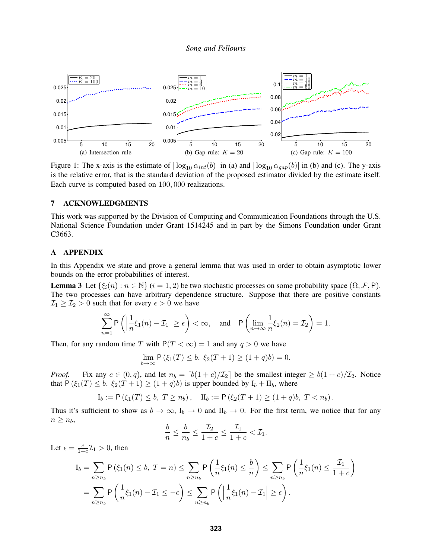

Figure 1: The x-axis is the estimate of  $|\log_{10} \alpha_{int}(b)|$  in (a) and  $|\log_{10} \alpha_{gap}(b)|$  in (b) and (c). The y-axis is the relative error, that is the standard deviation of the proposed estimator divided by the estimate itself. Each curve is computed based on 100, 000 realizations.

# 7 ACKNOWLEDGMENTS

This work was supported by the Division of Computing and Communication Foundations through the U.S. National Science Foundation under Grant 1514245 and in part by the Simons Foundation under Grant C3663.

## A APPENDIX

In this Appendix we state and prove a general lemma that was used in order to obtain asymptotic lower bounds on the error probabilities of interest.

**Lemma 3** Let  $\{\xi_i(n): n \in \mathbb{N}\}\ (i = 1, 2)$  be two stochastic processes on some probability space  $(\Omega, \mathcal{F}, P)$ . The two processes can have arbitrary dependence structure. Suppose that there are positive constants  $\mathcal{I}_1 \geq \mathcal{I}_2 > 0$  such that for every  $\epsilon > 0$  we have

$$
\sum_{n=1}^{\infty} \mathsf{P}\left(\left|\frac{1}{n}\xi_1(n)-\mathcal{I}_1\right| \geq \epsilon\right) < \infty, \quad \text{and} \quad \mathsf{P}\left(\lim_{n \to \infty} \frac{1}{n}\xi_2(n)=\mathcal{I}_2\right) = 1.
$$

Then, for any random time T with  $P(T < \infty) = 1$  and any  $q > 0$  we have

$$
\lim_{b \to \infty} \mathsf{P} \left( \xi_1(T) \le b, \ \xi_2(T+1) \ge (1+q)b \right) = 0.
$$

*Proof.* Fix any  $c \in (0, q)$ , and let  $n_b = \lfloor b(1 + c)/\mathcal{I}_2 \rfloor$  be the smallest integer  $\geq b(1 + c)/\mathcal{I}_2$ . Notice that  $P(\xi_1(T) \leq b, \xi_2(T+1) \geq (1+q)b)$  is upper bounded by  $I_b + II_b$ , where

$$
I_b := \mathsf{P}(\xi_1(T) \leq b, T \geq n_b), \quad \Pi_b := \mathsf{P}(\xi_2(T+1) \geq (1+q)b, T < n_b).
$$

Thus it's sufficient to show as  $b \to \infty$ ,  $I_b \to 0$  and  $II_b \to 0$ . For the first term, we notice that for any  $n \geq n_b$ ,

$$
\frac{b}{n} \le \frac{b}{n_b} \le \frac{\mathcal{I}_2}{1+c} \le \frac{\mathcal{I}_1}{1+c} < \mathcal{I}_1.
$$

Let  $\epsilon = \frac{c}{1+}$  $\frac{c}{1+c}\mathcal{I}_1 > 0$ , then

$$
I_b = \sum_{n \ge n_b} P(\xi_1(n) \le b, T = n) \le \sum_{n \ge n_b} P\left(\frac{1}{n}\xi_1(n) \le \frac{b}{n}\right) \le \sum_{n \ge n_b} P\left(\frac{1}{n}\xi_1(n) \le \frac{T_1}{1+c}\right)
$$
  
= 
$$
\sum_{n \ge n_b} P\left(\frac{1}{n}\xi_1(n) - T_1 \le -\epsilon\right) \le \sum_{n \ge n_b} P\left(\left|\frac{1}{n}\xi_1(n) - T_1\right| \ge \epsilon\right).
$$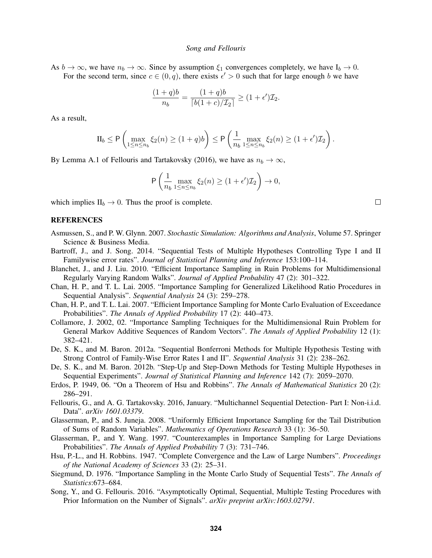As  $b \to \infty$ , we have  $n_b \to \infty$ . Since by assumption  $\xi_1$  convergences completely, we have  $I_b \to 0$ . For the second term, since  $c \in (0, q)$ , there exists  $\epsilon' > 0$  such that for large enough b we have

$$
\frac{(1+q)b}{n_b} = \frac{(1+q)b}{\lceil b(1+c)/\mathcal{I}_2 \rceil} \ge (1+\epsilon')\mathcal{I}_2.
$$

As a result,

$$
\Pi_b \le \mathsf{P}\left(\max_{1 \le n \le n_b} \xi_2(n) \ge (1+q)b\right) \le \mathsf{P}\left(\frac{1}{n_b} \max_{1 \le n \le n_b} \xi_2(n) \ge (1+\epsilon')\mathcal{I}_2\right).
$$

By Lemma A.1 of Fellouris and Tartakovsky (2016), we have as  $n_b \to \infty$ ,

$$
\mathsf{P}\left(\frac{1}{n_b}\max_{1\leq n\leq n_b}\xi_2(n)\geq (1+\epsilon')\mathcal{I}_2\right)\to 0,
$$

which implies  $II_b \rightarrow 0$ . Thus the proof is complete.

## **REFERENCES**

- Asmussen, S., and P. W. Glynn. 2007. *Stochastic Simulation: Algorithms and Analysis*, Volume 57. Springer Science & Business Media.
- Bartroff, J., and J. Song. 2014. "Sequential Tests of Multiple Hypotheses Controlling Type I and II Familywise error rates". *Journal of Statistical Planning and Inference* 153:100–114.
- Blanchet, J., and J. Liu. 2010. "Efficient Importance Sampling in Ruin Problems for Multidimensional Regularly Varying Random Walks". *Journal of Applied Probability* 47 (2): 301–322.
- Chan, H. P., and T. L. Lai. 2005. "Importance Sampling for Generalized Likelihood Ratio Procedures in Sequential Analysis". *Sequential Analysis* 24 (3): 259–278.
- Chan, H. P., and T. L. Lai. 2007. "Efficient Importance Sampling for Monte Carlo Evaluation of Exceedance Probabilities". *The Annals of Applied Probability* 17 (2): 440–473.
- Collamore, J. 2002, 02. "Importance Sampling Techniques for the Multidimensional Ruin Problem for General Markov Additive Sequences of Random Vectors". *The Annals of Applied Probability* 12 (1): 382–421.
- De, S. K., and M. Baron. 2012a. "Sequential Bonferroni Methods for Multiple Hypothesis Testing with Strong Control of Family-Wise Error Rates I and II". *Sequential Analysis* 31 (2): 238–262.
- De, S. K., and M. Baron. 2012b. "Step-Up and Step-Down Methods for Testing Multiple Hypotheses in Sequential Experiments". *Journal of Statistical Planning and Inference* 142 (7): 2059–2070.
- Erdos, P. 1949, 06. "On a Theorem of Hsu and Robbins". *The Annals of Mathematical Statistics* 20 (2): 286–291.
- Fellouris, G., and A. G. Tartakovsky. 2016, January. "Multichannel Sequential Detection- Part I: Non-i.i.d. Data". *arXiv 1601.03379*.
- Glasserman, P., and S. Juneja. 2008. "Uniformly Efficient Importance Sampling for the Tail Distribution of Sums of Random Variables". *Mathematics of Operations Research* 33 (1): 36–50.
- Glasserman, P., and Y. Wang. 1997. "Counterexamples in Importance Sampling for Large Deviations Probabilities". *The Annals of Applied Probability* 7 (3): 731–746.
- Hsu, P.-L., and H. Robbins. 1947. "Complete Convergence and the Law of Large Numbers". *Proceedings of the National Academy of Sciences* 33 (2): 25–31.
- Siegmund, D. 1976. "Importance Sampling in the Monte Carlo Study of Sequential Tests". *The Annals of Statistics*:673–684.
- Song, Y., and G. Fellouris. 2016. "Asymptotically Optimal, Sequential, Multiple Testing Procedures with Prior Information on the Number of Signals". *arXiv preprint arXiv:1603.02791*.

 $\Box$